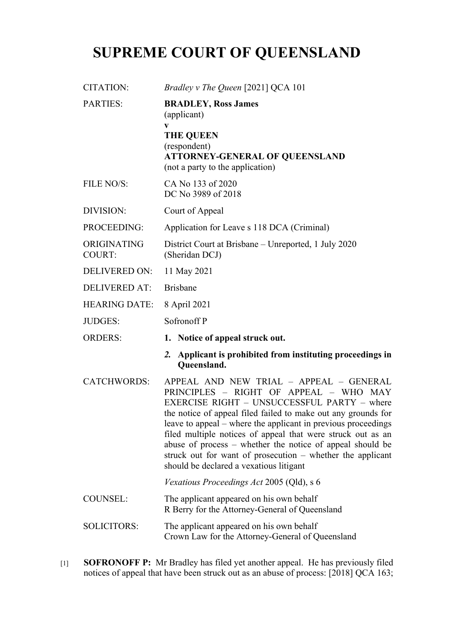## **SUPREME COURT OF QUEENSLAND**

| <b>CITATION:</b>             | Bradley v The Queen [2021] QCA 101                                                                                                                                                                                                                                                                                                                                                                                                                                                                      |
|------------------------------|---------------------------------------------------------------------------------------------------------------------------------------------------------------------------------------------------------------------------------------------------------------------------------------------------------------------------------------------------------------------------------------------------------------------------------------------------------------------------------------------------------|
| <b>PARTIES:</b>              | <b>BRADLEY, Ross James</b><br>(applicant)                                                                                                                                                                                                                                                                                                                                                                                                                                                               |
|                              | V<br><b>THE QUEEN</b><br>(respondent)<br><b>ATTORNEY-GENERAL OF QUEENSLAND</b><br>(not a party to the application)                                                                                                                                                                                                                                                                                                                                                                                      |
| <b>FILE NO/S:</b>            | CA No 133 of 2020<br>DC No 3989 of 2018                                                                                                                                                                                                                                                                                                                                                                                                                                                                 |
| DIVISION:                    | Court of Appeal                                                                                                                                                                                                                                                                                                                                                                                                                                                                                         |
| PROCEEDING:                  | Application for Leave s 118 DCA (Criminal)                                                                                                                                                                                                                                                                                                                                                                                                                                                              |
| ORIGINATING<br><b>COURT:</b> | District Court at Brisbane – Unreported, 1 July 2020<br>(Sheridan DCJ)                                                                                                                                                                                                                                                                                                                                                                                                                                  |
| <b>DELIVERED ON:</b>         | 11 May 2021                                                                                                                                                                                                                                                                                                                                                                                                                                                                                             |
| <b>DELIVERED AT:</b>         | <b>Brisbane</b>                                                                                                                                                                                                                                                                                                                                                                                                                                                                                         |
| <b>HEARING DATE:</b>         | 8 April 2021                                                                                                                                                                                                                                                                                                                                                                                                                                                                                            |
| <b>JUDGES:</b>               | Sofronoff P                                                                                                                                                                                                                                                                                                                                                                                                                                                                                             |
| <b>ORDERS:</b>               | 1. Notice of appeal struck out.                                                                                                                                                                                                                                                                                                                                                                                                                                                                         |
|                              | Applicant is prohibited from instituting proceedings in<br>$\mathbf{2}$ .<br>Queensland.                                                                                                                                                                                                                                                                                                                                                                                                                |
| <b>CATCHWORDS:</b>           | APPEAL AND NEW TRIAL - APPEAL - GENERAL<br>PRINCIPLES - RIGHT OF APPEAL - WHO MAY<br>EXERCISE RIGHT – UNSUCCESSFUL PARTY – where<br>the notice of appeal filed failed to make out any grounds for<br>leave to appeal – where the applicant in previous proceedings<br>filed multiple notices of appeal that were struck out as an<br>abuse of process – whether the notice of appeal should be<br>struck out for want of prosecution - whether the applicant<br>should be declared a vexatious litigant |
|                              | Vexatious Proceedings Act 2005 (Qld), s 6                                                                                                                                                                                                                                                                                                                                                                                                                                                               |
| <b>COUNSEL:</b>              | The applicant appeared on his own behalf<br>R Berry for the Attorney-General of Queensland                                                                                                                                                                                                                                                                                                                                                                                                              |
| SOLICITORS:                  | The applicant appeared on his own behalf<br>Crown Law for the Attorney-General of Queensland                                                                                                                                                                                                                                                                                                                                                                                                            |
|                              |                                                                                                                                                                                                                                                                                                                                                                                                                                                                                                         |

[1] **SOFRONOFF P:** Mr Bradley has filed yet another appeal. He has previously filed notices of appeal that have been struck out as an abuse of process: [2018] QCA 163;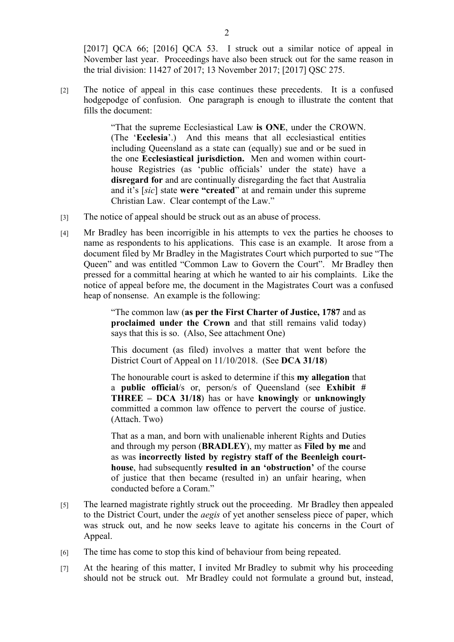[2017] QCA 66; [2016] QCA 53. I struck out a similar notice of appeal in November last year. Proceedings have also been struck out for the same reason in the trial division: 11427 of 2017; 13 November 2017; [2017] QSC 275.

[2] The notice of appeal in this case continues these precedents. It is a confused hodgepodge of confusion. One paragraph is enough to illustrate the content that fills the document:

> "That the supreme Ecclesiastical Law **is ONE**, under the CROWN. (The '**Ecclesia**'.) And this means that all ecclesiastical entities including Queensland as a state can (equally) sue and or be sued in the one **Ecclesiastical jurisdiction.** Men and women within courthouse Registries (as 'public officials' under the state) have a **disregard for** and are continually disregarding the fact that Australia and it's [*sic*] state **were "created**" at and remain under this supreme Christian Law. Clear contempt of the Law."

- [3] The notice of appeal should be struck out as an abuse of process.
- [4] Mr Bradley has been incorrigible in his attempts to vex the parties he chooses to name as respondents to his applications. This case is an example. It arose from a document filed by Mr Bradley in the Magistrates Court which purported to sue "The Queen" and was entitled "Common Law to Govern the Court". Mr Bradley then pressed for a committal hearing at which he wanted to air his complaints. Like the notice of appeal before me, the document in the Magistrates Court was a confused heap of nonsense. An example is the following:

"The common law (**as per the First Charter of Justice, 1787** and as **proclaimed under the Crown** and that still remains valid today) says that this is so. (Also, See attachment One)

This document (as filed) involves a matter that went before the District Court of Appeal on 11/10/2018. (See **DCA 31/18**)

The honourable court is asked to determine if this **my allegation** that a **public official**/s or, person/s of Queensland (see **Exhibit # THREE – DCA 31/18**) has or have **knowingly** or **unknowingly** committed a common law offence to pervert the course of justice. (Attach. Two)

That as a man, and born with unalienable inherent Rights and Duties and through my person (**BRADLEY**), my matter as **Filed by me** and as was **incorrectly listed by registry staff of the Beenleigh courthouse**, had subsequently **resulted in an 'obstruction'** of the course of justice that then became (resulted in) an unfair hearing, when conducted before a Coram."

- [5] The learned magistrate rightly struck out the proceeding. Mr Bradley then appealed to the District Court, under the *aegis* of yet another senseless piece of paper, which was struck out, and he now seeks leave to agitate his concerns in the Court of Appeal.
- [6] The time has come to stop this kind of behaviour from being repeated.
- [7] At the hearing of this matter, I invited Mr Bradley to submit why his proceeding should not be struck out. Mr Bradley could not formulate a ground but, instead,